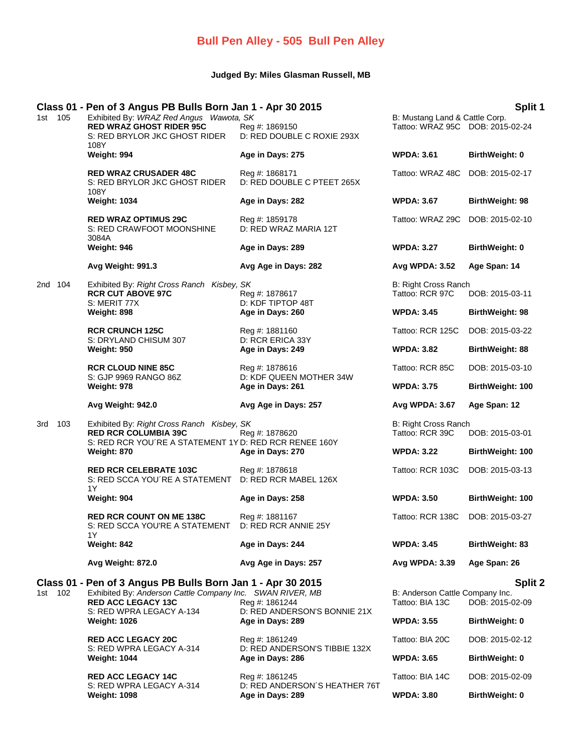## **Bull Pen Alley - 505 Bull Pen Alley**

## **Judged By: Miles Glasman Russell, MB**

## **Class 01 - Pen of 3 Angus PB Bulls Born Jan 1 - Apr 30 2015 Split 1**

|         |     | Class 01 - Pen of 3 Angus PB Buils Born Jan 1 - Apr 30 2015                                                         |                                                   |                                                                    | әрік т                 |
|---------|-----|---------------------------------------------------------------------------------------------------------------------|---------------------------------------------------|--------------------------------------------------------------------|------------------------|
| 1st 105 |     | Exhibited By: WRAZ Red Angus Wawota, SK<br><b>RED WRAZ GHOST RIDER 95C</b><br>S: RED BRYLOR JKC GHOST RIDER<br>108Y | Reg #: 1869150<br>D: RED DOUBLE C ROXIE 293X      | B: Mustang Land & Cattle Corp.<br>Tattoo: WRAZ 95C DOB: 2015-02-24 |                        |
|         |     | Weight: 994                                                                                                         | Age in Days: 275                                  | <b>WPDA: 3.61</b>                                                  | BirthWeight: 0         |
|         |     | <b>RED WRAZ CRUSADER 48C</b><br>S: RED BRYLOR JKC GHOST RIDER<br>108Y                                               | Reg #: 1868171<br>D: RED DOUBLE C PTEET 265X      | Tattoo: WRAZ 48C                                                   | DOB: 2015-02-17        |
|         |     | <b>Weight: 1034</b>                                                                                                 | Age in Days: 282                                  | <b>WPDA: 3.67</b>                                                  | BirthWeight: 98        |
|         |     | <b>RED WRAZ OPTIMUS 29C</b><br>S: RED CRAWFOOT MOONSHINE<br>3084A                                                   | Reg #: 1859178<br>D: RED WRAZ MARIA 12T           | Tattoo: WRAZ 29C                                                   | DOB: 2015-02-10        |
|         |     | Weight: 946                                                                                                         | Age in Days: 289                                  | <b>WPDA: 3.27</b>                                                  | BirthWeight: 0         |
|         |     | Avg Weight: 991.3                                                                                                   | Avg Age in Days: 282                              | Avg WPDA: 3.52                                                     | Age Span: 14           |
| 2nd 104 |     | Exhibited By: Right Cross Ranch Kisbey, SK<br><b>RCR CUT ABOVE 97C</b><br>S: MERIT 77X                              | Reg #: 1878617<br>D: KDF TIPTOP 48T               | B: Right Cross Ranch<br>Tattoo: RCR 97C                            | DOB: 2015-03-11        |
|         |     | Weight: 898                                                                                                         | Age in Days: 260                                  | <b>WPDA: 3.45</b>                                                  | BirthWeight: 98        |
|         |     | <b>RCR CRUNCH 125C</b>                                                                                              | Reg #: 1881160                                    | Tattoo: RCR 125C                                                   | DOB: 2015-03-22        |
|         |     | S: DRYLAND CHISUM 307<br>Weight: 950                                                                                | D: RCR ERICA 33Y<br>Age in Days: 249              | <b>WPDA: 3.82</b>                                                  | <b>BirthWeight: 88</b> |
|         |     | <b>RCR CLOUD NINE 85C</b>                                                                                           | Reg #: 1878616                                    | Tattoo: RCR 85C                                                    | DOB: 2015-03-10        |
|         |     | S: GJP 9969 RANGO 86Z<br>Weight: 978                                                                                | D: KDF QUEEN MOTHER 34W<br>Age in Days: 261       | <b>WPDA: 3.75</b>                                                  | BirthWeight: 100       |
|         |     | Avg Weight: 942.0                                                                                                   | Avg Age in Days: 257                              | Avg WPDA: 3.67                                                     | Age Span: 12           |
| 3rd     | 103 | Exhibited By: Right Cross Ranch Kisbey, SK                                                                          |                                                   | B: Right Cross Ranch                                               |                        |
|         |     | <b>RED RCR COLUMBIA 39C</b><br>S: RED RCR YOU'RE A STATEMENT 1Y D: RED RCR RENEE 160Y                               | Reg #: 1878620                                    | Tattoo: RCR 39C                                                    | DOB: 2015-03-01        |
|         |     | Weight: 870                                                                                                         | Age in Days: 270                                  | <b>WPDA: 3.22</b>                                                  | BirthWeight: 100       |
|         |     | <b>RED RCR CELEBRATE 103C</b><br>S: RED SCCA YOU'RE A STATEMENT<br>1Y                                               | Reg #: 1878618<br>D: RED RCR MABEL 126X           | Tattoo: RCR 103C                                                   | DOB: 2015-03-13        |
|         |     | Weight: 904                                                                                                         | Age in Days: 258                                  | <b>WPDA: 3.50</b>                                                  | BirthWeight: 100       |
|         |     | <b>RED RCR COUNT ON ME 138C</b><br>S: RED SCCA YOU'RE A STATEMENT<br>1Y                                             | Reg #: 1881167<br>D: RED RCR ANNIE 25Y            | Tattoo: RCR 138C                                                   | DOB: 2015-03-27        |
|         |     | Weight: 842                                                                                                         | Age in Days: 244                                  | <b>WPDA: 3.45</b>                                                  | <b>BirthWeight: 83</b> |
|         |     | Avg Weight: 872.0                                                                                                   | Avg Age in Days: 257                              | Avg WPDA: 3.39                                                     | Age Span: 26           |
|         |     | Class 01 - Pen of 3 Angus PB Bulls Born Jan 1 - Apr 30 2015                                                         |                                                   |                                                                    | Split 2                |
| 1st 102 |     | Exhibited By: Anderson Cattle Company Inc. SWAN RIVER, MB<br><b>RED ACC LEGACY 13C</b>                              | Reg #: 1861244                                    | B: Anderson Cattle Company Inc.<br>Tattoo: BIA 13C                 | DOB: 2015-02-09        |
|         |     | S: RED WPRA LEGACY A-134<br><b>Weight: 1026</b>                                                                     | D: RED ANDERSON'S BONNIE 21X<br>Age in Days: 289  | <b>WPDA: 3.55</b>                                                  | <b>BirthWeight: 0</b>  |
|         |     | <b>RED ACC LEGACY 20C</b>                                                                                           | Reg #: 1861249                                    | Tattoo: BIA 20C                                                    | DOB: 2015-02-12        |
|         |     | S: RED WPRA LEGACY A-314<br><b>Weight: 1044</b>                                                                     | D: RED ANDERSON'S TIBBIE 132X<br>Age in Days: 286 | <b>WPDA: 3.65</b>                                                  | <b>BirthWeight: 0</b>  |
|         |     |                                                                                                                     |                                                   |                                                                    |                        |

**RED ACC LEGACY 14C** Reg #: 1861245 Tattoo: BIA 14C DOB: 2015-02-09<br>S: RED WPRA LEGACY A-314 D: RED ANDERSON'S HEATHER 76T S: RED WPRA LEGACY A-314 D: RED ANDERSON´S HEATHER 76T<br>Weight: 1098 Discreed Age in Days: 289 **Weight: 1098 Age in Days: 289 WPDA: 3.80 BirthWeight: 0**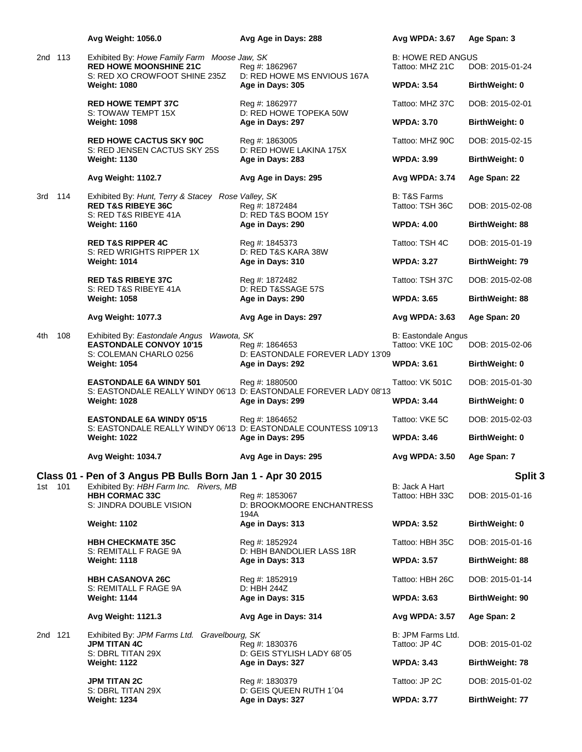|         |     | Avg Weight: 1056.0                                                                                             | Avg Age in Days: 288                                                                | Avg WPDA: 3.67                                | Age Span: 3            |
|---------|-----|----------------------------------------------------------------------------------------------------------------|-------------------------------------------------------------------------------------|-----------------------------------------------|------------------------|
| 2nd 113 |     | Exhibited By: Howe Family Farm Moose Jaw, SK<br><b>RED HOWE MOONSHINE 21C</b><br>S: RED XO CROWFOOT SHINE 235Z | Reg #: 1862967<br>D: RED HOWE MS ENVIOUS 167A                                       | <b>B: HOWE RED ANGUS</b><br>Tattoo: MHZ 21C   | DOB: 2015-01-24        |
|         |     | <b>Weight: 1080</b>                                                                                            | Age in Days: 305                                                                    | <b>WPDA: 3.54</b>                             | <b>BirthWeight: 0</b>  |
|         |     | <b>RED HOWE TEMPT 37C</b><br>S: TOWAW TEMPT 15X                                                                | Reg #: 1862977<br>D: RED HOWE TOPEKA 50W                                            | Tattoo: MHZ 37C                               | DOB: 2015-02-01        |
|         |     | <b>Weight: 1098</b>                                                                                            | Age in Days: 297                                                                    | <b>WPDA: 3.70</b>                             | <b>BirthWeight: 0</b>  |
|         |     | <b>RED HOWE CACTUS SKY 90C</b><br>S: RED JENSEN CACTUS SKY 25S                                                 | Reg #: 1863005<br>D: RED HOWE LAKINA 175X                                           | Tattoo: MHZ 90C                               | DOB: 2015-02-15        |
|         |     | <b>Weight: 1130</b>                                                                                            | Age in Days: 283                                                                    | <b>WPDA: 3.99</b>                             | <b>BirthWeight: 0</b>  |
|         |     | Avg Weight: 1102.7                                                                                             | Avg Age in Days: 295                                                                | Avg WPDA: 3.74                                | Age Span: 22           |
| 3rd     | 114 | Exhibited By: Hunt, Terry & Stacey Rose Valley, SK<br><b>RED T&amp;S RIBEYE 36C</b><br>S: RED T&S RIBEYE 41A   | Reg #: 1872484<br>D: RED T&S BOOM 15Y                                               | <b>B: T&amp;S Farms</b><br>Tattoo: TSH 36C    | DOB: 2015-02-08        |
|         |     | <b>Weight: 1160</b>                                                                                            | Age in Days: 290                                                                    | <b>WPDA: 4.00</b>                             | BirthWeight: 88        |
|         |     | <b>RED T&amp;S RIPPER 4C</b><br>S: RED WRIGHTS RIPPER 1X                                                       | Reg #: 1845373<br>D: RED T&S KARA 38W                                               | Tattoo: TSH 4C                                | DOB: 2015-01-19        |
|         |     | <b>Weight: 1014</b>                                                                                            | Age in Days: 310                                                                    | <b>WPDA: 3.27</b>                             | <b>BirthWeight: 79</b> |
|         |     | <b>RED T&amp;S RIBEYE 37C</b><br>S: RED T&S RIBEYE 41A                                                         | Reg #: 1872482<br>D: RED T&SSAGE 57S                                                | Tattoo: TSH 37C                               | DOB: 2015-02-08        |
|         |     | <b>Weight: 1058</b>                                                                                            | Age in Days: 290                                                                    | <b>WPDA: 3.65</b>                             | <b>BirthWeight: 88</b> |
|         |     | <b>Avg Weight: 1077.3</b>                                                                                      | Avg Age in Days: 297                                                                | Avg WPDA: 3.63                                | Age Span: 20           |
| 4th.    | 108 | Exhibited By: Eastondale Angus Wawota, SK<br><b>EASTONDALE CONVOY 10'15</b><br>S: COLEMAN CHARLO 0256          | Reg #: 1864653<br>D: EASTONDALE FOREVER LADY 13'09                                  | <b>B: Eastondale Angus</b><br>Tattoo: VKE 10C | DOB: 2015-02-06        |
|         |     | <b>Weight: 1054</b>                                                                                            | Age in Days: 292                                                                    | <b>WPDA: 3.61</b>                             | <b>BirthWeight: 0</b>  |
|         |     | <b>EASTONDALE 6A WINDY 501</b>                                                                                 | Reg #: 1880500<br>S: EASTONDALE REALLY WINDY 06'13 D: EASTONDALE FOREVER LADY 08'13 | Tattoo: VK 501C                               | DOB: 2015-01-30        |
|         |     | <b>Weight: 1028</b>                                                                                            | Age in Days: 299                                                                    | <b>WPDA: 3.44</b>                             | BirthWeight: 0         |
|         |     | <b>EASTONDALE 6A WINDY 05'15</b><br>S: EASTONDALE REALLY WINDY 06'13 D: EASTONDALE COUNTESS 109'13             | Reg #: 1864652                                                                      | Tattoo: VKE 5C                                | DOB: 2015-02-03        |
|         |     | <b>Weight: 1022</b>                                                                                            | Age in Days: 295                                                                    | <b>WPDA: 3.46</b>                             | <b>BirthWeight: 0</b>  |
|         |     | <b>Avg Weight: 1034.7</b>                                                                                      | Avg Age in Days: 295                                                                | Avg WPDA: 3.50                                | Age Span: 7            |
| 1st 101 |     | Class 01 - Pen of 3 Angus PB Bulls Born Jan 1 - Apr 30 2015<br>Exhibited By: HBH Farm Inc. Rivers, MB          |                                                                                     | B: Jack A Hart                                | Split 3                |
|         |     | <b>HBH CORMAC 33C</b><br>S: JINDRA DOUBLE VISION                                                               | Reg #: 1853067<br>D: BROOKMOORE ENCHANTRESS<br>194A                                 | Tattoo: HBH 33C                               | DOB: 2015-01-16        |
|         |     | <b>Weight: 1102</b>                                                                                            | Age in Days: 313                                                                    | <b>WPDA: 3.52</b>                             | <b>BirthWeight: 0</b>  |
|         |     | <b>HBH CHECKMATE 35C</b><br>S: REMITALL F RAGE 9A                                                              | Reg #: 1852924<br>D: HBH BANDOLIER LASS 18R                                         | Tattoo: HBH 35C                               | DOB: 2015-01-16        |
|         |     | <b>Weight: 1118</b>                                                                                            | Age in Days: 313                                                                    | <b>WPDA: 3.57</b>                             | <b>BirthWeight: 88</b> |
|         |     | <b>HBH CASANOVA 26C</b><br>S: REMITALL F RAGE 9A                                                               | Reg #: 1852919<br>D: HBH 244Z                                                       | Tattoo: HBH 26C                               | DOB: 2015-01-14        |
|         |     | <b>Weight: 1144</b>                                                                                            | Age in Days: 315                                                                    | <b>WPDA: 3.63</b>                             | BirthWeight: 90        |
|         |     | Avg Weight: 1121.3                                                                                             | Avg Age in Days: 314                                                                | Avg WPDA: 3.57                                | Age Span: 2            |
| 2nd 121 |     | Exhibited By: JPM Farms Ltd. Gravelbourg, SK<br><b>JPM TITAN 4C</b><br>S: DBRL TITAN 29X                       | Reg #: 1830376<br>D: GEIS STYLISH LADY 68'05                                        | B: JPM Farms Ltd.<br>Tattoo: JP 4C            | DOB: 2015-01-02        |
|         |     | <b>Weight: 1122</b>                                                                                            | Age in Days: 327                                                                    | <b>WPDA: 3.43</b>                             | BirthWeight: 78        |
|         |     | <b>JPM TITAN 2C</b><br>S: DBRL TITAN 29X                                                                       | Reg #: 1830379<br>D: GEIS QUEEN RUTH 1'04                                           | Tattoo: JP 2C                                 | DOB: 2015-01-02        |
|         |     | <b>Weight: 1234</b>                                                                                            | Age in Days: 327                                                                    | <b>WPDA: 3.77</b>                             | <b>BirthWeight: 77</b> |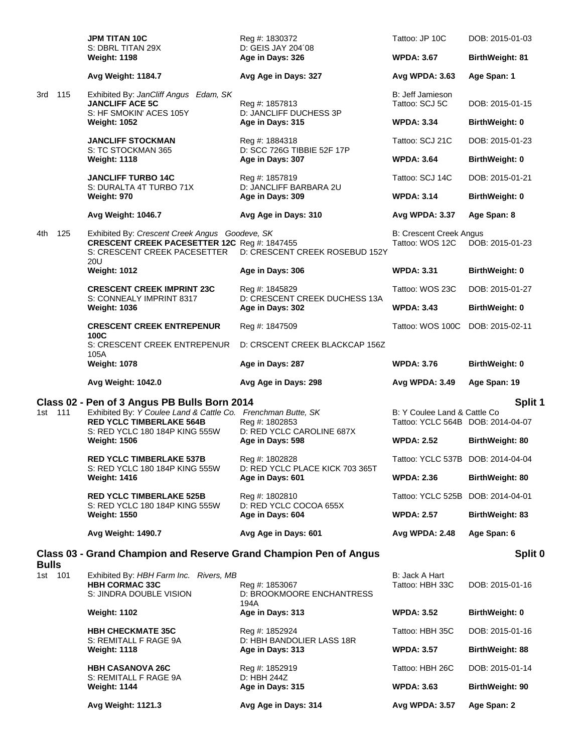|                         | <b>JPM TITAN 10C</b><br>S: DBRL TITAN 29X                                                                                             | Reg #: 1830372<br>D: GEIS JAY 204'08                | Tattoo: JP 10C                                                    | DOB: 2015-01-03        |
|-------------------------|---------------------------------------------------------------------------------------------------------------------------------------|-----------------------------------------------------|-------------------------------------------------------------------|------------------------|
|                         | <b>Weight: 1198</b>                                                                                                                   | Age in Days: 326                                    | <b>WPDA: 3.67</b>                                                 | <b>BirthWeight: 81</b> |
|                         | Avg Weight: 1184.7                                                                                                                    | Avg Age in Days: 327                                | Avg WPDA: 3.63                                                    | Age Span: 1            |
| 115<br>3rd              | Exhibited By: JanCliff Angus Edam, SK<br><b>JANCLIFF ACE 5C</b><br>S: HF SMOKIN' ACES 105Y                                            | Reg #: 1857813<br>D: JANCLIFF DUCHESS 3P            | B: Jeff Jamieson<br>Tattoo: SCJ 5C                                | DOB: 2015-01-15        |
|                         | <b>Weight: 1052</b>                                                                                                                   | Age in Days: 315                                    | <b>WPDA: 3.34</b>                                                 | <b>BirthWeight: 0</b>  |
|                         | <b>JANCLIFF STOCKMAN</b><br>S: TC STOCKMAN 365                                                                                        | Reg #: 1884318<br>D: SCC 726G TIBBIE 52F 17P        | Tattoo: SCJ 21C                                                   | DOB: 2015-01-23        |
|                         | <b>Weight: 1118</b>                                                                                                                   | Age in Days: 307                                    | <b>WPDA: 3.64</b>                                                 | BirthWeight: 0         |
|                         | <b>JANCLIFF TURBO 14C</b><br>S: DURALTA 4T TURBO 71X                                                                                  | Reg #: 1857819<br>D: JANCLIFF BARBARA 2U            | Tattoo: SCJ 14C                                                   | DOB: 2015-01-21        |
|                         | Weight: 970                                                                                                                           | Age in Days: 309                                    | <b>WPDA: 3.14</b>                                                 | BirthWeight: 0         |
|                         | <b>Avg Weight: 1046.7</b>                                                                                                             | Avg Age in Days: 310                                | Avg WPDA: 3.37                                                    | Age Span: 8            |
| 125<br>4th              | Exhibited By: Crescent Creek Angus Goodeve, SK<br>CRESCENT CREEK PACESETTER 12C Reg #: 1847455<br>S: CRESCENT CREEK PACESETTER<br>20U | D: CRESCENT CREEK ROSEBUD 152Y                      | <b>B: Crescent Creek Angus</b><br>Tattoo: WOS 12C                 | DOB: 2015-01-23        |
|                         | <b>Weight: 1012</b>                                                                                                                   | Age in Days: 306                                    | <b>WPDA: 3.31</b>                                                 | BirthWeight: 0         |
|                         | <b>CRESCENT CREEK IMPRINT 23C</b>                                                                                                     | Reg #: 1845829                                      | Tattoo: WOS 23C                                                   | DOB: 2015-01-27        |
|                         | S: CONNEALY IMPRINT 8317<br><b>Weight: 1036</b>                                                                                       | D: CRESCENT CREEK DUCHESS 13A<br>Age in Days: 302   | <b>WPDA: 3.43</b>                                                 | <b>BirthWeight: 0</b>  |
|                         | <b>CRESCENT CREEK ENTREPENUR</b><br>100C                                                                                              | Reg #: 1847509                                      | Tattoo: WOS 100C                                                  | DOB: 2015-02-11        |
|                         | S: CRESCENT CREEK ENTREPENUR<br>105A                                                                                                  | D: CRSCENT CREEK BLACKCAP 156Z                      |                                                                   |                        |
|                         | <b>Weight: 1078</b>                                                                                                                   | Age in Days: 287                                    | <b>WPDA: 3.76</b>                                                 | BirthWeight: 0         |
|                         |                                                                                                                                       |                                                     |                                                                   |                        |
|                         | Avg Weight: 1042.0                                                                                                                    | Avg Age in Days: 298                                | Avg WPDA: 3.49                                                    | Age Span: 19           |
| 1st 111                 | Class 02 - Pen of 3 Angus PB Bulls Born 2014<br>Exhibited By: Y Coulee Land & Cattle Co. Frenchman Butte, SK                          | Reg #: 1802853                                      | B: Y Coulee Land & Cattle Co<br>Tattoo: YCLC 564B DOB: 2014-04-07 | Split 1                |
|                         | <b>RED YCLC TIMBERLAKE 564B</b><br>S: RED YCLC 180 184P KING 555W<br><b>Weight: 1506</b>                                              | D: RED YCLC CAROLINE 687X<br>Age in Days: 598       | <b>WPDA: 2.52</b>                                                 | BirthWeight: 80        |
|                         | <b>RED YCLC TIMBERLAKE 537B</b>                                                                                                       | Reg #: 1802828                                      | Tattoo: YCLC 537B DOB: 2014-04-04                                 |                        |
|                         | S: RED YCLC 180 184P KING 555W<br><b>Weight: 1416</b>                                                                                 | D: RED YCLC PLACE KICK 703 365T<br>Age in Days: 601 | <b>WPDA: 2.36</b>                                                 | BirthWeight: 80        |
|                         | <b>RED YCLC TIMBERLAKE 525B</b>                                                                                                       | Reg #: 1802810                                      | Tattoo: YCLC 525B DOB: 2014-04-01                                 |                        |
|                         | S: RED YCLC 180 184P KING 555W<br><b>Weight: 1550</b>                                                                                 | D: RED YCLC COCOA 655X<br>Age in Days: 604          | <b>WPDA: 2.57</b>                                                 | BirthWeight: 83        |
|                         | Avg Weight: 1490.7                                                                                                                    | Avg Age in Days: 601                                | <b>Avg WPDA: 2.48</b>                                             | Age Span: 6            |
|                         | Class 03 - Grand Champion and Reserve Grand Champion Pen of Angus                                                                     |                                                     |                                                                   | Split 0                |
| <b>Bulls</b><br>1st 101 | Exhibited By: HBH Farm Inc. Rivers, MB<br><b>HBH CORMAC 33C</b><br>S: JINDRA DOUBLE VISION                                            | Reg #: 1853067<br>D: BROOKMOORE ENCHANTRESS         | B: Jack A Hart<br>Tattoo: HBH 33C                                 | DOB: 2015-01-16        |
|                         | <b>Weight: 1102</b>                                                                                                                   | 194A<br>Age in Days: 313                            | <b>WPDA: 3.52</b>                                                 | BirthWeight: 0         |
|                         | <b>HBH CHECKMATE 35C</b>                                                                                                              | Reg #: 1852924                                      | Tattoo: HBH 35C                                                   | DOB: 2015-01-16        |
|                         | S: REMITALL F RAGE 9A<br><b>Weight: 1118</b>                                                                                          | D: HBH BANDOLIER LASS 18R<br>Age in Days: 313       | <b>WPDA: 3.57</b>                                                 | <b>BirthWeight: 88</b> |
|                         | <b>HBH CASANOVA 26C</b><br>S: REMITALL F RAGE 9A                                                                                      | Reg #: 1852919<br>D: HBH 244Z                       | Tattoo: HBH 26C                                                   | DOB: 2015-01-14        |
|                         | <b>Weight: 1144</b>                                                                                                                   | Age in Days: 315                                    | <b>WPDA: 3.63</b>                                                 | BirthWeight: 90        |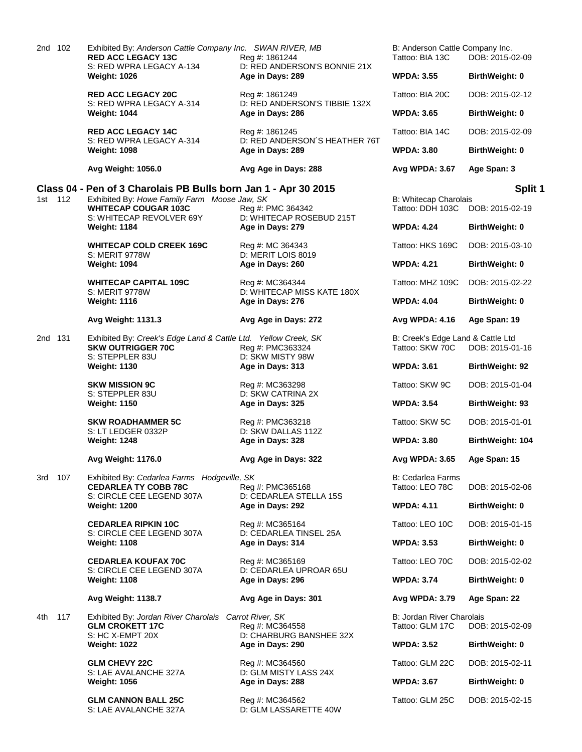| 2nd 102    | Exhibited By: Anderson Cattle Company Inc. SWAN RIVER, MB<br><b>RED ACC LEGACY 13C</b><br>S: RED WPRA LEGACY A-134 | Reg #: 1861244<br>D: RED ANDERSON'S BONNIE 21X                 | B: Anderson Cattle Company Inc.<br>Tattoo: BIA 13C   | DOB: 2015-02-09       |
|------------|--------------------------------------------------------------------------------------------------------------------|----------------------------------------------------------------|------------------------------------------------------|-----------------------|
|            | <b>Weight: 1026</b>                                                                                                | Age in Days: 289                                               | <b>WPDA: 3.55</b>                                    | BirthWeight: 0        |
|            | <b>RED ACC LEGACY 20C</b><br>S: RED WPRA LEGACY A-314                                                              | Reg #: 1861249<br>D: RED ANDERSON'S TIBBIE 132X                | Tattoo: BIA 20C                                      | DOB: 2015-02-12       |
|            | <b>Weight: 1044</b>                                                                                                | Age in Days: 286                                               | <b>WPDA: 3.65</b>                                    | BirthWeight: 0        |
|            | <b>RED ACC LEGACY 14C</b><br>S: RED WPRA LEGACY A-314                                                              | Reg #: 1861245<br>D: RED ANDERSON'S HEATHER 76T                | Tattoo: BIA 14C                                      | DOB: 2015-02-09       |
|            | <b>Weight: 1098</b>                                                                                                | Age in Days: 289                                               | <b>WPDA: 3.80</b>                                    | <b>BirthWeight: 0</b> |
|            | Avg Weight: 1056.0                                                                                                 | Avg Age in Days: 288                                           | Avg WPDA: 3.67                                       | Age Span: 3           |
|            | Class 04 - Pen of 3 Charolais PB Bulls born Jan 1 - Apr 30 2015                                                    |                                                                |                                                      | Split 1               |
| 1st 112    | Exhibited By: Howe Family Farm Moose Jaw, SK<br><b>WHITECAP COUGAR 103C</b>                                        | Reg #: PMC 364342                                              | <b>B: Whitecap Charolais</b><br>Tattoo: DDH 103C     | DOB: 2015-02-19       |
|            | S: WHITECAP REVOLVER 69Y<br><b>Weight: 1184</b>                                                                    | D: WHITECAP ROSEBUD 215T<br>Age in Days: 279                   | <b>WPDA: 4.24</b>                                    | BirthWeight: 0        |
|            | <b>WHITECAP COLD CREEK 169C</b><br>S: MERIT 9778W                                                                  | Reg #: MC 364343<br>D: MERIT LOIS 8019                         | Tattoo: HKS 169C                                     | DOB: 2015-03-10       |
|            | <b>Weight: 1094</b>                                                                                                | Age in Days: 260                                               | <b>WPDA: 4.21</b>                                    | BirthWeight: 0        |
|            | <b>WHITECAP CAPITAL 109C</b><br><b>S: MERIT 9778W</b>                                                              | Reg #: MC364344<br>D: WHITECAP MISS KATE 180X                  | Tattoo: MHZ 109C                                     | DOB: 2015-02-22       |
|            | <b>Weight: 1116</b>                                                                                                | Age in Days: 276                                               | <b>WPDA: 4.04</b>                                    | <b>BirthWeight: 0</b> |
|            | Avg Weight: 1131.3                                                                                                 | Avg Age in Days: 272                                           | Avg WPDA: 4.16                                       | Age Span: 19          |
| 2nd 131    | Exhibited By: Creek's Edge Land & Cattle Ltd. Yellow Creek, SK<br><b>SKW OUTRIGGER 70C</b><br>S: STEPPLER 83U      | Reg #: PMC363324<br>D: SKW MISTY 98W                           | B: Creek's Edge Land & Cattle Ltd<br>Tattoo: SKW 70C | DOB: 2015-01-16       |
|            | <b>Weight: 1130</b>                                                                                                | Age in Days: 313                                               | <b>WPDA: 3.61</b>                                    | BirthWeight: 92       |
|            | <b>SKW MISSION 9C</b><br>S: STEPPLER 83U                                                                           | Reg #: MC363298<br>D: SKW CATRINA 2X                           | Tattoo: SKW 9C                                       | DOB: 2015-01-04       |
|            | <b>Weight: 1150</b>                                                                                                | Age in Days: 325                                               | <b>WPDA: 3.54</b>                                    | BirthWeight: 93       |
|            | <b>SKW ROADHAMMER 5C</b><br>S: LT LEDGER 0332P                                                                     | Reg #: PMC363218<br>D: SKW DALLAS 112Z                         | Tattoo: SKW 5C                                       | DOB: 2015-01-01       |
|            | <b>Weight: 1248</b>                                                                                                | Age in Days: 328                                               | <b>WPDA: 3.80</b>                                    | BirthWeight: 104      |
|            | Avg Weight: 1176.0                                                                                                 | Avg Age in Days: 322                                           | Avg WPDA: 3.65                                       | Age Span: 15          |
| 3rd 107    | Exhibited By: Cedarlea Farms Hodgeville, SK<br><b>CEDARLEA TY COBB 78C</b><br>S: CIRCLE CEE LEGEND 307A            | Reg #: PMC365168<br>D: CEDARLEA STELLA 15S                     | B: Cedarlea Farms<br>Tattoo: LEO 78C                 | DOB: 2015-02-06       |
|            | <b>Weight: 1200</b>                                                                                                | Age in Days: 292                                               | <b>WPDA: 4.11</b>                                    | BirthWeight: 0        |
|            | <b>CEDARLEA RIPKIN 10C</b><br>S: CIRCLE CEE LEGEND 307A                                                            | Reg #: MC365164<br>D: CEDARLEA TINSEL 25A                      | Tattoo: LEO 10C                                      | DOB: 2015-01-15       |
|            | <b>Weight: 1108</b>                                                                                                | Age in Days: 314                                               | <b>WPDA: 3.53</b>                                    | BirthWeight: 0        |
|            | <b>CEDARLEA KOUFAX 70C</b><br>S: CIRCLE CEE LEGEND 307A                                                            | Reg #: MC365169<br>D: CEDARLEA UPROAR 65U                      | Tattoo: LEO 70C                                      | DOB: 2015-02-02       |
|            | <b>Weight: 1108</b>                                                                                                | Age in Days: 296                                               | <b>WPDA: 3.74</b>                                    | BirthWeight: 0        |
|            | Avg Weight: 1138.7                                                                                                 | Avg Age in Days: 301                                           | Avg WPDA: 3.79                                       | Age Span: 22          |
| 117<br>4th | Exhibited By: Jordan River Charolais<br><b>GLM CROKETT 17C</b><br>S: HC X-EMPT 20X                                 | Carrot River, SK<br>Reg #: MC364558<br>D: CHARBURG BANSHEE 32X | B: Jordan River Charolais<br>Tattoo: GLM 17C         | DOB: 2015-02-09       |
|            | <b>Weight: 1022</b>                                                                                                | Age in Days: 290                                               | <b>WPDA: 3.52</b>                                    | BirthWeight: 0        |
|            | <b>GLM CHEVY 22C</b><br>S: LAE AVALANCHE 327A                                                                      | Reg #: MC364560<br>D: GLM MISTY LASS 24X                       | Tattoo: GLM 22C                                      | DOB: 2015-02-11       |
|            | <b>Weight: 1056</b>                                                                                                | Age in Days: 288                                               | <b>WPDA: 3.67</b>                                    | BirthWeight: 0        |
|            | <b>GLM CANNON BALL 25C</b><br>S: LAE AVALANCHE 327A                                                                | Reg #: MC364562<br>D: GLM LASSARETTE 40W                       | Tattoo: GLM 25C                                      | DOB: 2015-02-15       |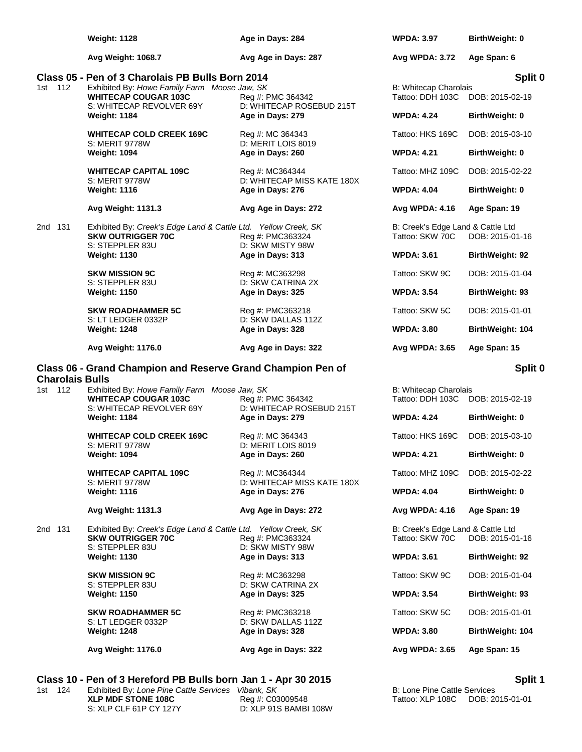|                                   | <b>Weight: 1128</b>                                                                                                             | Age in Days: 284                               | <b>WPDA: 3.97</b>                                         | BirthWeight: 0             |
|-----------------------------------|---------------------------------------------------------------------------------------------------------------------------------|------------------------------------------------|-----------------------------------------------------------|----------------------------|
|                                   | <b>Avg Weight: 1068.7</b>                                                                                                       | Avg Age in Days: 287                           | Avg WPDA: 3.72                                            | Age Span: 6                |
| 1st 112                           | Class 05 - Pen of 3 Charolais PB Bulls Born 2014<br>Exhibited By: Howe Family Farm Moose Jaw, SK<br><b>WHITECAP COUGAR 103C</b> | Reg #: PMC 364342                              | B: Whitecap Charolais<br>Tattoo: DDH 103C                 | Split 0<br>DOB: 2015-02-19 |
|                                   | S: WHITECAP REVOLVER 69Y<br><b>Weight: 1184</b>                                                                                 | D: WHITECAP ROSEBUD 215T<br>Age in Days: 279   | <b>WPDA: 4.24</b>                                         | BirthWeight: 0             |
|                                   | <b>WHITECAP COLD CREEK 169C</b><br><b>S: MERIT 9778W</b>                                                                        | Reg #: MC 364343                               | Tattoo: HKS 169C                                          | DOB: 2015-03-10            |
|                                   | <b>Weight: 1094</b>                                                                                                             | D: MERIT LOIS 8019<br>Age in Days: 260         | <b>WPDA: 4.21</b>                                         | BirthWeight: 0             |
|                                   | <b>WHITECAP CAPITAL 109C</b><br>S: MERIT 9778W                                                                                  | Reg #: MC364344<br>D: WHITECAP MISS KATE 180X  | Tattoo: MHZ 109C                                          | DOB: 2015-02-22            |
|                                   | <b>Weight: 1116</b>                                                                                                             | Age in Days: 276                               | <b>WPDA: 4.04</b>                                         | BirthWeight: 0             |
|                                   | Avg Weight: 1131.3                                                                                                              | Avg Age in Days: 272                           | Avg WPDA: 4.16                                            | Age Span: 19               |
| 2nd 131                           | Exhibited By: Creek's Edge Land & Cattle Ltd. Yellow Creek, SK<br><b>SKW OUTRIGGER 70C</b><br>S: STEPPLER 83U                   | Reg #: PMC363324<br>D: SKW MISTY 98W           | B: Creek's Edge Land & Cattle Ltd<br>Tattoo: SKW 70C      | DOB: 2015-01-16            |
|                                   | <b>Weight: 1130</b>                                                                                                             | Age in Days: 313                               | <b>WPDA: 3.61</b>                                         | <b>BirthWeight: 92</b>     |
|                                   | <b>SKW MISSION 9C</b><br>S: STEPPLER 83U                                                                                        | Reg #: MC363298<br>D: SKW CATRINA 2X           | Tattoo: SKW 9C                                            | DOB: 2015-01-04            |
|                                   | <b>Weight: 1150</b>                                                                                                             | Age in Days: 325                               | <b>WPDA: 3.54</b>                                         | <b>BirthWeight: 93</b>     |
|                                   | <b>SKW ROADHAMMER 5C</b><br>S: LT LEDGER 0332P                                                                                  | Reg #: PMC363218<br>D: SKW DALLAS 112Z         | Tattoo: SKW 5C                                            | DOB: 2015-01-01            |
|                                   | <b>Weight: 1248</b>                                                                                                             | Age in Days: 328                               | <b>WPDA: 3.80</b>                                         | BirthWeight: 104           |
|                                   | Avg Weight: 1176.0                                                                                                              | Avg Age in Days: 322                           | Avg WPDA: 3.65                                            | Age Span: 15               |
|                                   |                                                                                                                                 |                                                |                                                           |                            |
|                                   | Class 06 - Grand Champion and Reserve Grand Champion Pen of                                                                     |                                                |                                                           |                            |
| <b>Charolais Bulls</b><br>1st 112 | Exhibited By: Howe Family Farm Moose Jaw, SK<br><b>WHITECAP COUGAR 103C</b>                                                     | Reg #: PMC 364342                              | B: Whitecap Charolais<br>Tattoo: DDH 103C DOB: 2015-02-19 |                            |
|                                   | S: WHITECAP REVOLVER 69Y<br><b>Weight: 1184</b>                                                                                 | D: WHITECAP ROSEBUD 215T<br>Age in Days: 279   | <b>WPDA: 4.24</b>                                         | Split 0<br>BirthWeight: 0  |
|                                   | <b>WHITECAP COLD CREEK 169C</b>                                                                                                 | Reg #: MC 364343                               | Tattoo: HKS 169C                                          | DOB: 2015-03-10            |
|                                   | <b>S: MERIT 9778W</b><br><b>Weight: 1094</b>                                                                                    | D: MERIT LOIS 8019<br>Age in Days: 260         | <b>WPDA: 4.21</b>                                         | <b>BirthWeight: 0</b>      |
|                                   | <b>WHITECAP CAPITAL 109C</b>                                                                                                    | Reg #: MC364344                                | Tattoo: MHZ 109C                                          | DOB: 2015-02-22            |
|                                   | S: MERIT 9778W<br><b>Weight: 1116</b>                                                                                           | D: WHITECAP MISS KATE 180X<br>Age in Days: 276 | <b>WPDA: 4.04</b>                                         | BirthWeight: 0             |
|                                   | Avg Weight: 1131.3                                                                                                              | Avg Age in Days: 272                           | Avg WPDA: 4.16                                            | Age Span: 19               |
| 2nd 131                           | Exhibited By: Creek's Edge Land & Cattle Ltd. Yellow Creek, SK<br><b>SKW OUTRIGGER 70C</b><br>S: STEPPLER 83U                   | Reg #: PMC363324<br>D: SKW MISTY 98W           | B: Creek's Edge Land & Cattle Ltd<br>Tattoo: SKW 70C      | DOB: 2015-01-16            |
|                                   | <b>Weight: 1130</b>                                                                                                             | Age in Days: 313                               | <b>WPDA: 3.61</b>                                         | BirthWeight: 92            |
|                                   | <b>SKW MISSION 9C</b><br>S: STEPPLER 83U                                                                                        | Reg #: MC363298<br>D: SKW CATRINA 2X           | Tattoo: SKW 9C                                            | DOB: 2015-01-04            |
|                                   | <b>Weight: 1150</b>                                                                                                             | Age in Days: 325                               | <b>WPDA: 3.54</b>                                         | BirthWeight: 93            |
|                                   | <b>SKW ROADHAMMER 5C</b><br>S: LT LEDGER 0332P                                                                                  | Reg #: PMC363218<br>D: SKW DALLAS 112Z         | Tattoo: SKW 5C                                            | DOB: 2015-01-01            |
|                                   | <b>Weight: 1248</b>                                                                                                             | Age in Days: 328                               | <b>WPDA: 3.80</b>                                         | BirthWeight: 104           |
|                                   | Avg Weight: 1176.0                                                                                                              | Avg Age in Days: 322                           | Avg WPDA: 3.65                                            | Age Span: 15               |

| 1st 124 | Exhibited By: Lone Pine Cattle Services Vibank, SK |                       | B: Lone Pine Cattle Services     |
|---------|----------------------------------------------------|-----------------------|----------------------------------|
|         | XLP MDF STONE 108C                                 | Reg #: C03009548      | Tattoo: XLP 108C DOB: 2015-01-01 |
|         | S: XLP CLF 61P CY 127Y                             | D: XLP 91S BAMBI 108W |                                  |

ank, SK<br>ank, SK<br>g #: C03009548<br>XLP 91S BAMBI 108W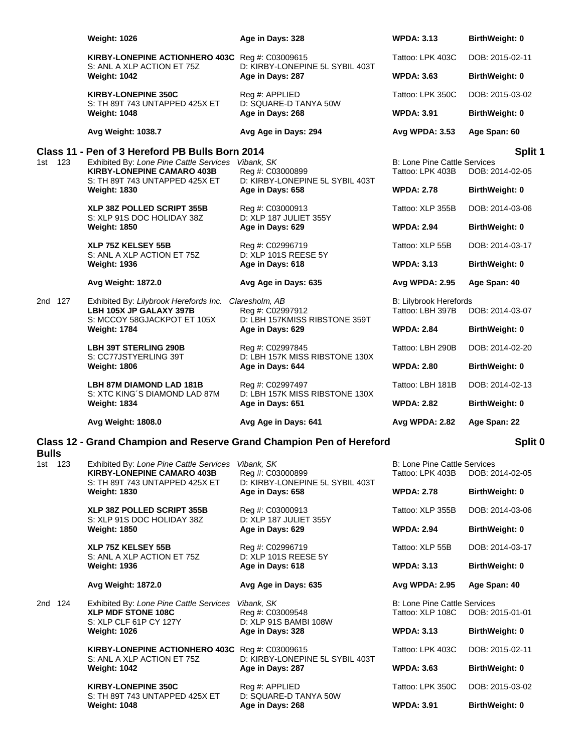|              | <b>Weight: 1026</b>                                                                                            | Age in Days: 328                                                     | <b>WPDA: 3.13</b>                                       | BirthWeight: 0        |
|--------------|----------------------------------------------------------------------------------------------------------------|----------------------------------------------------------------------|---------------------------------------------------------|-----------------------|
|              | KIRBY-LONEPINE ACTIONHERO 403C Reg #: C03009615<br>S: ANL A XLP ACTION ET 75Z                                  | D: KIRBY-LONEPINE 5L SYBIL 403T                                      | Tattoo: LPK 403C                                        | DOB: 2015-02-11       |
|              | <b>Weight: 1042</b>                                                                                            | Age in Days: 287                                                     | <b>WPDA: 3.63</b>                                       | BirthWeight: 0        |
|              | <b>KIRBY-LONEPINE 350C</b><br>S: TH 89T 743 UNTAPPED 425X ET                                                   | Reg #: APPLIED<br>D: SQUARE-D TANYA 50W                              | Tattoo: LPK 350C                                        | DOB: 2015-03-02       |
|              | <b>Weight: 1048</b>                                                                                            | Age in Days: 268                                                     | <b>WPDA: 3.91</b>                                       | <b>BirthWeight: 0</b> |
|              | Avg Weight: 1038.7                                                                                             | Avg Age in Days: 294                                                 | Avg WPDA: 3.53                                          | Age Span: 60          |
|              | Class 11 - Pen of 3 Hereford PB Bulls Born 2014                                                                |                                                                      |                                                         | Split 1               |
| 1st 123      | Exhibited By: Lone Pine Cattle Services Vibank, SK<br><b>KIRBY-LONEPINE CAMARO 403B</b>                        | Reg #: C03000899                                                     | <b>B: Lone Pine Cattle Services</b><br>Tattoo: LPK 403B | DOB: 2014-02-05       |
|              | S: TH 89T 743 UNTAPPED 425X ET<br><b>Weight: 1830</b>                                                          | D: KIRBY-LONEPINE 5L SYBIL 403T<br>Age in Days: 658                  | <b>WPDA: 2.78</b>                                       | <b>BirthWeight: 0</b> |
|              | XLP 38Z POLLED SCRIPT 355B<br>S: XLP 91S DOC HOLIDAY 38Z                                                       | Reg #: C03000913<br>D: XLP 187 JULIET 355Y                           | Tattoo: XLP 355B                                        | DOB: 2014-03-06       |
|              | <b>Weight: 1850</b>                                                                                            | Age in Days: 629                                                     | <b>WPDA: 2.94</b>                                       | BirthWeight: 0        |
|              | XLP 75Z KELSEY 55B<br>S: ANL A XLP ACTION ET 75Z                                                               | Reg #: C02996719<br>D: XLP 101S REESE 5Y                             | Tattoo: XLP 55B                                         | DOB: 2014-03-17       |
|              | <b>Weight: 1936</b>                                                                                            | Age in Days: 618                                                     | <b>WPDA: 3.13</b>                                       | BirthWeight: 0        |
|              | <b>Avg Weight: 1872.0</b>                                                                                      | Avg Age in Days: 635                                                 | <b>Avg WPDA: 2.95</b>                                   | Age Span: 40          |
| 2nd 127      | Exhibited By: Lilybrook Herefords Inc. Claresholm, AB<br>LBH 105X JP GALAXY 397B                               | Reg #: C02997912                                                     | <b>B: Lilybrook Herefords</b><br>Tattoo: LBH 397B       | DOB: 2014-03-07       |
|              | S: MCCOY 58GJACKPOT ET 105X<br><b>Weight: 1784</b>                                                             | D: LBH 157KMISS RIBSTONE 359T<br>Age in Days: 629                    | <b>WPDA: 2.84</b>                                       | BirthWeight: 0        |
|              | <b>LBH 39T STERLING 290B</b><br>S: CC77JSTYERLING 39T                                                          | Reg #: C02997845<br>D: LBH 157K MISS RIBSTONE 130X                   | Tattoo: LBH 290B                                        | DOB: 2014-02-20       |
|              | <b>Weight: 1806</b>                                                                                            | Age in Days: 644                                                     | <b>WPDA: 2.80</b>                                       | <b>BirthWeight: 0</b> |
|              | LBH 87M DIAMOND LAD 181B<br>S: XTC KING'S DIAMOND LAD 87M                                                      | Reg #: C02997497<br>D: LBH 157K MISS RIBSTONE 130X                   | Tattoo: LBH 181B                                        | DOB: 2014-02-13       |
|              | <b>Weight: 1834</b>                                                                                            | Age in Days: 651                                                     | <b>WPDA: 2.82</b>                                       | <b>BirthWeight: 0</b> |
|              | Avg Weight: 1808.0                                                                                             | Avg Age in Days: 641                                                 | Avg WPDA: 2.82                                          | Age Span: 22          |
| <b>Bulls</b> |                                                                                                                | Class 12 - Grand Champion and Reserve Grand Champion Pen of Hereford |                                                         | Split 0               |
| 1st 123      | Exhibited By: Lone Pine Cattle Services<br><b>KIRBY-LONEPINE CAMARO 403B</b><br>S: TH 89T 743 UNTAPPED 425X ET | Vibank, SK<br>Reg #: C03000899<br>D: KIRBY-LONEPINE 5L SYBIL 403T    | <b>B: Lone Pine Cattle Services</b><br>Tattoo: LPK 403B | DOB: 2014-02-05       |
|              | <b>Weight: 1830</b>                                                                                            | Age in Days: 658                                                     | <b>WPDA: 2.78</b>                                       | BirthWeight: 0        |
|              | <b>XLP 38Z POLLED SCRIPT 355B</b><br>S: XLP 91S DOC HOLIDAY 38Z                                                | Reg #: C03000913<br>D: XLP 187 JULIET 355Y                           | Tattoo: XLP 355B                                        | DOB: 2014-03-06       |
|              | <b>Weight: 1850</b>                                                                                            | Age in Days: 629                                                     | <b>WPDA: 2.94</b>                                       | <b>BirthWeight: 0</b> |
|              | <b>XLP 75Z KELSEY 55B</b><br>S: ANL A XLP ACTION ET 75Z                                                        | Reg #: C02996719<br>D: XLP 101S REESE 5Y                             | Tattoo: XLP 55B                                         | DOB: 2014-03-17       |
|              | <b>Weight: 1936</b>                                                                                            | Age in Days: 618                                                     | <b>WPDA: 3.13</b>                                       | BirthWeight: 0        |
|              | Avg Weight: 1872.0                                                                                             | Avg Age in Days: 635                                                 | Avg WPDA: 2.95                                          | Age Span: 40          |
| 2nd 124      | Exhibited By: Lone Pine Cattle Services<br><b>XLP MDF STONE 108C</b><br>S: XLP CLF 61P CY 127Y                 | Vibank, SK<br>Reg #: C03009548<br>D: XLP 91S BAMBI 108W              | <b>B: Lone Pine Cattle Services</b><br>Tattoo: XLP 108C | DOB: 2015-01-01       |
|              | <b>Weight: 1026</b>                                                                                            | Age in Days: 328                                                     | <b>WPDA: 3.13</b>                                       | <b>BirthWeight: 0</b> |
|              | KIRBY-LONEPINE ACTIONHERO 403C Reg #: C03009615<br>S: ANL A XLP ACTION ET 75Z                                  | D: KIRBY-LONEPINE 5L SYBIL 403T                                      | Tattoo: LPK 403C                                        | DOB: 2015-02-11       |
|              | <b>Weight: 1042</b>                                                                                            | Age in Days: 287                                                     | <b>WPDA: 3.63</b>                                       | BirthWeight: 0        |
|              | <b>KIRBY-LONEPINE 350C</b><br>S: TH 89T 743 UNTAPPED 425X ET                                                   | Reg #: APPLIED<br>D: SQUARE-D TANYA 50W                              | Tattoo: LPK 350C                                        | DOB: 2015-03-02       |
|              | <b>Weight: 1048</b>                                                                                            | Age in Days: 268                                                     | <b>WPDA: 3.91</b>                                       | BirthWeight: 0        |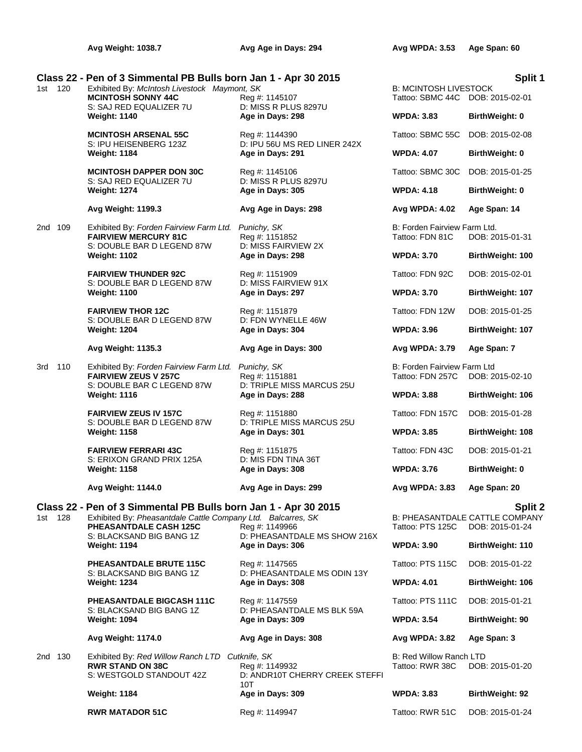## **Class 22 - Pen of 3 Simmental PB Bulls born Jan 1 - Apr 30 2015**<br>1st 120 Exhibited By: *McIntosh Livestock Maymont. SK* B: MCINTOSH LIVESTOCK

 $1$ Exhibited By: *McIntosh Livestock Maymont, SK* B: MCINTOSH LIVESTOCK LIVESTOCK B: MCINTOSH LIVESTOCK B: MCINTOSH LIVESTOCK B: MCINTOSH LIVESTOCK B: MCINTOSH LIVESTOCK B: MCINTOSH LIVESTOCK B: MCINTOSH LIVESTOCK B: MCINT **MCINTOSH SONNY 44C** Reg #: 1145107 S: SAJ RED EQUALIZER 7U D: MISS R PLUS 8297U **Weight: 1140 Age in Days: 298** 

**MCINTOSH ARSENAL 55C** Reg #: 1144390<br>S: IPU HEISENBERG 123Z D: IPU 56U MS **Weight: 1184 Age in Days: 291** 

**MCINTOSH DAPPER DON 30C** Reg #: 1145106 S: SAJ RED EQUALIZER 7U D: MISS R PLUS 8297U **Weight: 1274 Age in Days: 305** 

## **Avg Weight: 1199.3 Avg Age in Days: 298**

2nd 109 Exhibited By: *Forden Fairview Farm Ltd. Punichy, SK* **FAIRVIEW MERCURY 81C** Reg #: 1151852 S: DOUBLE BAR D LEGEND 87W D: MISS FAIRVIEW 2X **Weight: 1102 Age in Days: 298** 

> **FAIRVIEW THUNDER 92C** Reg #: 1151909 S: DOUBLE BAR D LEGEND 87W D: MISS FAIRVIEW 91X **Weight: 1100 Age in Days: 297**

> **FAIRVIEW THOR 12C** Reg #: 1151879 S: DOUBLE BAR D LEGEND 87W D: FDN WYNELLE 46W **Weight: 1204 Age in Days: 304**

3rd 110 Exhibited By: *Forden Fairview Farm Ltd. Punichy, SK*: Forden Fairview Farm Ltd. Punichy, SK **FAIRVIEW ZEUS V 257C Reg #: 1151881** S: DOUBLE BAR C LEGEND 87W D: TRIPLE MISS MARCUS 25U **Weight: 1116 Age in Days: 288 Birth** 

> **FAIRVIEW ZEUS IV 157C** Reg #: 1151880<br>S: DOUBLE BAR D LEGEND 87W D: TRIPLE MISS MARCUS 25U S: DOUBLE BAR D LEGEND 87W **Weight: 1158 Age in Days: 301 WPDA: 3.85 BirthWeight: 108**

> **FAIRVIEW FERRARI 43C** Reg #: 1151875 Tattoo: FDN 43C DOB: 2015-01-21 S: ERIXON GRAND PRIX 125A D: MIS FDN TINA 36T **Weight: 1158 Age in Days: 308 WPDA: 3.76 BirthWeight: 0**

D: IPU 56U MS RED LINER 242X

## **Avg Weight: 1135.3 Avg Age in Days: 300**

## **Class 22 - Pen of 3 Simmental PB Bulls born Jan 1 - Apr 30 2015 Split 2**

**Weight: 1194 Age in Days: 306** 

**PHEASANTDALE BRUTE 115C** Reg #: 1147565

**PHEASANTDALE BIGCASH 111C** Reg #: 1147559 Tattoo: PTS 111C DOB: 2015-01-21<br>S: BLACKSAND BIG BANG 1Z D: PHEASANTDALE MS BLK 59A

2nd 130 Exhibited By: *Red Willow Ranch LTD Cutknife, SK* B: Red Willow Ranch LTD

# S: BLACKSAND BIG BANG 1Z D: PHEASANTDALE MS SHOW 216X

S: BLACKSAND BIG BANG 1Z D: PHEASANTDALE MS ODIN 13Y **Weight: 1234 Age in Days: 308 WPDA: 4.01 BirthWeight: 106**

D: PHEASANTDALE MS BLK 59A **Weight: 1094 Age in Days: 309 WPDA: 3.54 BirthWeight: 90**

**RWR STAND ON 38C** Reg #: 1149932 Tattoo: RWR 38C DOB: 2015-01-20<br>S: WESTGOLD STANDOUT 42Z D: ANDR10T CHERRY CREEK STEFFI D: ANDR10T CHERRY CREEK STEFFI 10T **Weight: 1184 Birth Weight: 1184 Birth Weight: 309 Birth** 

|                                                  | Split            |
|--------------------------------------------------|------------------|
| <b>3: MCINTOSH LIVESTOCK</b><br>Fattoo: SBMC 44C | DOB: 2015-02-01  |
| <b>NPDA: 3.83</b>                                | BirthWeight: 0   |
| Fattoo: SBMC 55C                                 | DOB: 2015-02-08  |
| <b>NPDA: 4.07</b>                                | BirthWeight: 0   |
| Fattoo: SBMC 30C                                 | DOB: 2015-01-25  |
| <b>NPDA: 4.18</b>                                | BirthWeight: 0   |
| Avg WPDA: 4.02                                   | Age Span: 14     |
| 3: Forden Fairview Farm Ltd.<br>Tattoo: FDN 81C  | DOB: 2015-01-31  |
| <b>NPDA: 3.70</b>                                | BirthWeight: 100 |
| <b>Tattoo: FDN 92C</b>                           | DOB: 2015-02-01  |
| <b>NPDA: 3.70</b>                                | BirthWeight: 107 |
| <b>Tattoo: FDN 12W</b>                           | DOB: 2015-01-25  |
| <b>NPDA: 3.96</b>                                | BirthWeight: 107 |
| Avg WPDA: 3.79                                   | Age Span: 7      |
| 3: Forden Fairview Farm Ltd<br>Fattoo: FDN 257C  | DOB: 2015-02-10  |
| <b>NPDA: 3.88</b>                                | BirthWeight: 106 |
| <b>Tattoo: FDN 157C</b>                          | DOB: 2015-01-28  |
|                                                  |                  |

**Avg Weight: 1144.0 Avg Age in Days: 299 Avg WPDA: 3.83 Age Span: 20**

1st 128 Exhibited By: *Pheasantdale Cattle Company Ltd. Balcarres, SK* B: PHEASANTDALE CATTLE COMPANY **PHEASANTDALE CASH 125C** Reg #: 1149966 Tattoo: PTS 125C DOB: 2015-01-24

| WPDA: 3.90        | <b>BirthWeight: 110</b> |
|-------------------|-------------------------|
| Tattoo: PTS 115C. | $DOR: 2015-01-22$       |

**Avg Weight: 1174.0 Avg Age in Days: 308 Avg WPDA: 3.82 Age Span: 3**

| VPDA: 3.83 | <b>BirthWeight: 92</b> |
|------------|------------------------|
|            |                        |

**RWR MATADOR 51C** Reg #: 1149947 Tattoo: RWR 51C DOB: 2015-01-24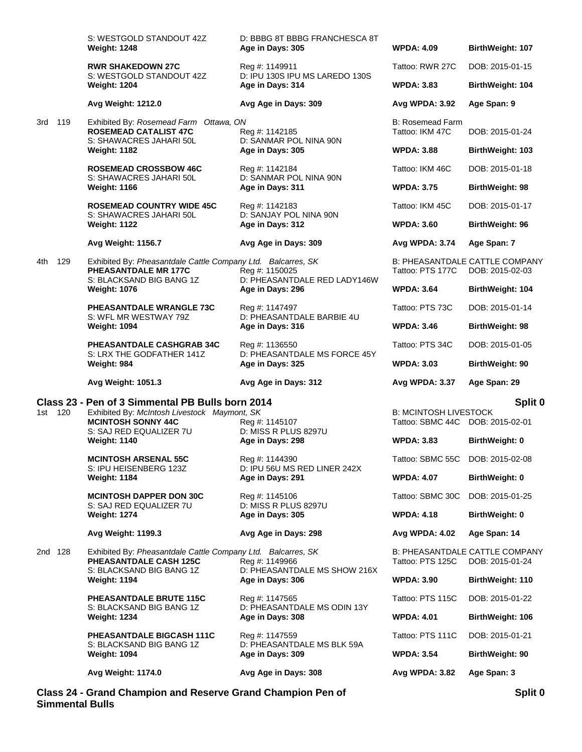|         |     | S: WESTGOLD STANDOUT 42Z<br><b>Weight: 1248</b>                                                                               | D: BBBG 8T BBBG FRANCHESCA 8T<br>Age in Days: 305  | <b>WPDA: 4.09</b>                                                | BirthWeight: 107                                         |
|---------|-----|-------------------------------------------------------------------------------------------------------------------------------|----------------------------------------------------|------------------------------------------------------------------|----------------------------------------------------------|
|         |     | <b>RWR SHAKEDOWN 27C</b>                                                                                                      | Reg #: 1149911                                     | Tattoo: RWR 27C                                                  | DOB: 2015-01-15                                          |
|         |     | S: WESTGOLD STANDOUT 42Z<br><b>Weight: 1204</b>                                                                               | D: IPU 130S IPU MS LAREDO 130S<br>Age in Days: 314 | <b>WPDA: 3.83</b>                                                | BirthWeight: 104                                         |
|         |     | Avg Weight: 1212.0                                                                                                            | Avg Age in Days: 309                               | <b>Avg WPDA: 3.92</b>                                            | Age Span: 9                                              |
| 3rd 119 |     | Exhibited By: Rosemead Farm Ottawa, ON<br><b>ROSEMEAD CATALIST 47C</b><br>S: SHAWACRES JAHARI 50L                             | Reg #: 1142185<br>D: SANMAR POL NINA 90N           | B: Rosemead Farm<br>Tattoo: IKM 47C                              | DOB: 2015-01-24                                          |
|         |     | <b>Weight: 1182</b>                                                                                                           | Age in Days: 305                                   | <b>WPDA: 3.88</b>                                                | <b>BirthWeight: 103</b>                                  |
|         |     | <b>ROSEMEAD CROSSBOW 46C</b><br>S: SHAWACRES JAHARI 50L                                                                       | Reg #: 1142184<br>D: SANMAR POL NINA 90N           | Tattoo: IKM 46C                                                  | DOB: 2015-01-18                                          |
|         |     | <b>Weight: 1166</b>                                                                                                           | Age in Days: 311                                   | <b>WPDA: 3.75</b>                                                | BirthWeight: 98                                          |
|         |     | <b>ROSEMEAD COUNTRY WIDE 45C</b><br>S: SHAWACRES JAHARI 50L                                                                   | Reg #: 1142183<br>D: SANJAY POL NINA 90N           | Tattoo: IKM 45C                                                  | DOB: 2015-01-17                                          |
|         |     | <b>Weight: 1122</b>                                                                                                           | Age in Days: 312                                   | <b>WPDA: 3.60</b>                                                | BirthWeight: 96                                          |
|         |     | <b>Avg Weight: 1156.7</b>                                                                                                     | Avg Age in Days: 309                               | Avg WPDA: 3.74                                                   | Age Span: 7                                              |
| 4th     | 129 | Exhibited By: Pheasantdale Cattle Company Ltd. Balcarres, SK<br><b>PHEASANTDALE MR 177C</b><br>S: BLACKSAND BIG BANG 1Z       | Reg #: 1150025<br>D: PHEASANTDALE RED LADY146W     | Tattoo: PTS 177C                                                 | <b>B: PHEASANTDALE CATTLE COMPANY</b><br>DOB: 2015-02-03 |
|         |     | <b>Weight: 1076</b>                                                                                                           | Age in Days: 296                                   | <b>WPDA: 3.64</b>                                                | BirthWeight: 104                                         |
|         |     | <b>PHEASANTDALE WRANGLE 73C</b><br>S: WFL MR WESTWAY 79Z                                                                      | Reg #: 1147497<br>D: PHEASANTDALE BARBIE 4U        | Tattoo: PTS 73C                                                  | DOB: 2015-01-14                                          |
|         |     | <b>Weight: 1094</b>                                                                                                           | Age in Days: 316                                   | <b>WPDA: 3.46</b>                                                | BirthWeight: 98                                          |
|         |     | PHEASANTDALE CASHGRAB 34C<br>S: LRX THE GODFATHER 141Z                                                                        | Reg #: 1136550<br>D: PHEASANTDALE MS FORCE 45Y     | Tattoo: PTS 34C                                                  | DOB: 2015-01-05                                          |
|         |     |                                                                                                                               |                                                    |                                                                  |                                                          |
|         |     | Weight: 984                                                                                                                   | Age in Days: 325                                   | <b>WPDA: 3.03</b>                                                | BirthWeight: 90                                          |
|         |     | Avg Weight: 1051.3                                                                                                            | Avg Age in Days: 312                               | Avg WPDA: 3.37                                                   | Age Span: 29                                             |
| 1st 120 |     | Class 23 - Pen of 3 Simmental PB Bulls born 2014<br>Exhibited By: McIntosh Livestock Maymont, SK<br><b>MCINTOSH SONNY 44C</b> | Reg #: 1145107                                     | <b>B: MCINTOSH LIVESTOCK</b><br>Tattoo: SBMC 44C DOB: 2015-02-01 | Split 0                                                  |
|         |     | S: SAJ RED EQUALIZER 7U<br><b>Weight: 1140</b>                                                                                | D: MISS R PLUS 8297U<br>Age in Days: 298           | <b>WPDA: 3.83</b>                                                | BirthWeight: 0                                           |
|         |     | <b>MCINTOSH ARSENAL 55C</b>                                                                                                   | Reg #: 1144390                                     | Tattoo: SBMC 55C DOB: 2015-02-08                                 |                                                          |
|         |     | S: IPU HEISENBERG 123Z<br><b>Weight: 1184</b>                                                                                 | D: IPU 56U MS RED LINER 242X<br>Age in Days: 291   | <b>WPDA: 4.07</b>                                                | BirthWeight: 0                                           |
|         |     | <b>MCINTOSH DAPPER DON 30C</b>                                                                                                | Reg #: 1145106                                     | Tattoo: SBMC 30C                                                 | DOB: 2015-01-25                                          |
|         |     | S: SAJ RED EQUALIZER 7U<br><b>Weight: 1274</b>                                                                                | D: MISS R PLUS 8297U<br>Age in Days: 305           | <b>WPDA: 4.18</b>                                                | BirthWeight: 0                                           |
|         |     | Avg Weight: 1199.3                                                                                                            | Avg Age in Days: 298                               | Avg WPDA: 4.02                                                   | Age Span: 14                                             |
| 2nd 128 |     | Exhibited By: Pheasantdale Cattle Company Ltd. Balcarres, SK<br><b>PHEASANTDALE CASH 125C</b>                                 | Reg #: 1149966                                     | Tattoo: PTS 125C                                                 | <b>B: PHEASANTDALE CATTLE COMPANY</b><br>DOB: 2015-01-24 |
|         |     | S: BLACKSAND BIG BANG 1Z<br><b>Weight: 1194</b>                                                                               | D: PHEASANTDALE MS SHOW 216X<br>Age in Days: 306   | <b>WPDA: 3.90</b>                                                | <b>BirthWeight: 110</b>                                  |
|         |     | PHEASANTDALE BRUTE 115C                                                                                                       | Reg #: 1147565                                     | Tattoo: PTS 115C                                                 | DOB: 2015-01-22                                          |
|         |     | S: BLACKSAND BIG BANG 1Z<br><b>Weight: 1234</b>                                                                               | D: PHEASANTDALE MS ODIN 13Y<br>Age in Days: 308    | <b>WPDA: 4.01</b>                                                | BirthWeight: 106                                         |
|         |     | PHEASANTDALE BIGCASH 111C                                                                                                     | Reg #: 1147559                                     | Tattoo: PTS 111C                                                 | DOB: 2015-01-21                                          |
|         |     | S: BLACKSAND BIG BANG 1Z<br><b>Weight: 1094</b>                                                                               | D: PHEASANTDALE MS BLK 59A<br>Age in Days: 309     | <b>WPDA: 3.54</b>                                                | BirthWeight: 90                                          |
|         |     | <b>Avg Weight: 1174.0</b>                                                                                                     | Avg Age in Days: 308                               | Avg WPDA: 3.82                                                   | Age Span: 3                                              |

**Simmental Bulls**